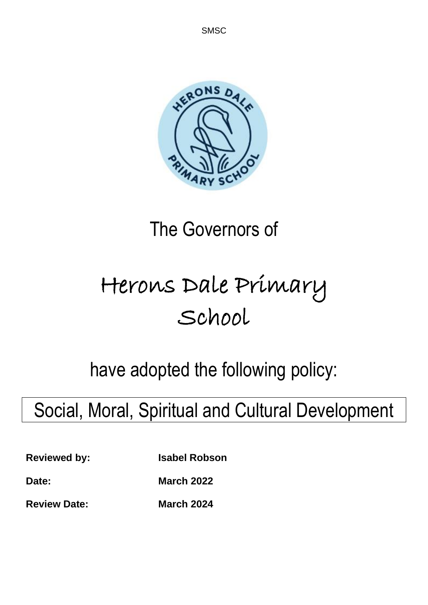

# The Governors of

# Herons Dale Primary School

have adopted the following policy:

# Social, Moral, Spiritual and Cultural Development

**Reviewed by: Isabel Robson**

**Date: March 2022**

**Review Date: March 2024**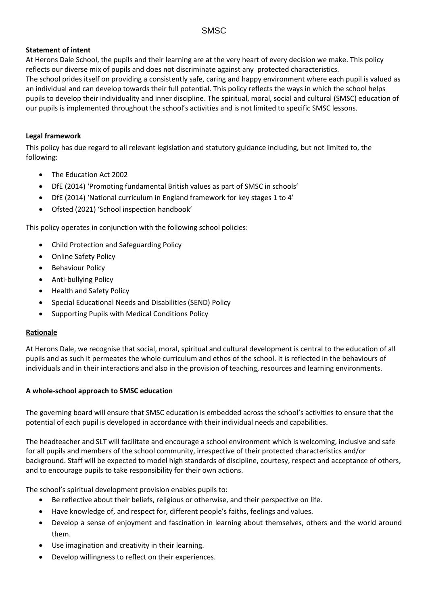#### **Statement of intent**

At Herons Dale School, the pupils and their learning are at the very heart of every decision we make. This policy reflects our diverse mix of pupils and does not discriminate against any protected characteristics. The school prides itself on providing a consistently safe, caring and happy environment where each pupil is valued as an individual and can develop towards their full potential. This policy reflects the ways in which the school helps pupils to develop their individuality and inner discipline. The spiritual, moral, social and cultural (SMSC) education of our pupils is implemented throughout the school's activities and is not limited to specific SMSC lessons.

#### **Legal framework**

This policy has due regard to all relevant legislation and statutory guidance including, but not limited to, the following:

- The Education Act 2002
- DfE (2014) 'Promoting fundamental British values as part of SMSC in schools'
- DfE (2014) 'National curriculum in England framework for key stages 1 to 4'
- Ofsted (2021) 'School inspection handbook'

This policy operates in conjunction with the following school policies:

- Child Protection and Safeguarding Policy
- Online Safety Policy
- Behaviour Policy
- Anti-bullying Policy
- Health and Safety Policy
- Special Educational Needs and Disabilities (SEND) Policy
- Supporting Pupils with Medical Conditions Policy

#### **Rationale**

At Herons Dale, we recognise that social, moral, spiritual and cultural development is central to the education of all pupils and as such it permeates the whole curriculum and ethos of the school. It is reflected in the behaviours of individuals and in their interactions and also in the provision of teaching, resources and learning environments.

#### **A whole-school approach to SMSC education**

The governing board will ensure that SMSC education is embedded across the school's activities to ensure that the potential of each pupil is developed in accordance with their individual needs and capabilities.

The headteacher and SLT will facilitate and encourage a school environment which is welcoming, inclusive and safe for all pupils and members of the school community, irrespective of their protected characteristics and/or background. Staff will be expected to model high standards of discipline, courtesy, respect and acceptance of others, and to encourage pupils to take responsibility for their own actions.

The school's spiritual development provision enables pupils to:

- Be reflective about their beliefs, religious or otherwise, and their perspective on life.
- Have knowledge of, and respect for, different people's faiths, feelings and values.
- Develop a sense of enjoyment and fascination in learning about themselves, others and the world around them.
- Use imagination and creativity in their learning.
- Develop willingness to reflect on their experiences.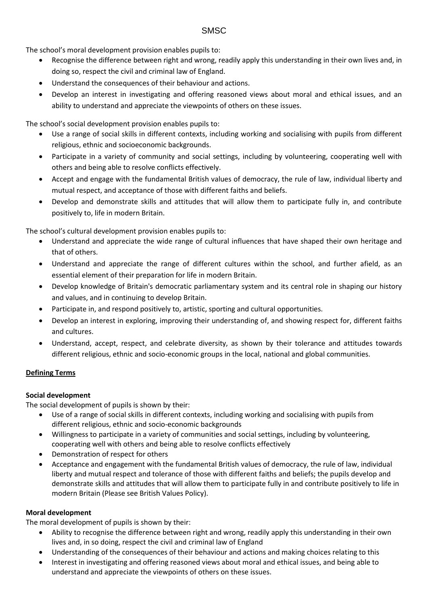The school's moral development provision enables pupils to:

- Recognise the difference between right and wrong, readily apply this understanding in their own lives and, in doing so, respect the civil and criminal law of England.
- Understand the consequences of their behaviour and actions.
- Develop an interest in investigating and offering reasoned views about moral and ethical issues, and an ability to understand and appreciate the viewpoints of others on these issues.

The school's social development provision enables pupils to:

- Use a range of social skills in different contexts, including working and socialising with pupils from different religious, ethnic and socioeconomic backgrounds.
- Participate in a variety of community and social settings, including by volunteering, cooperating well with others and being able to resolve conflicts effectively.
- Accept and engage with the fundamental British values of democracy, the rule of law, individual liberty and mutual respect, and acceptance of those with different faiths and beliefs.
- Develop and demonstrate skills and attitudes that will allow them to participate fully in, and contribute positively to, life in modern Britain.

The school's cultural development provision enables pupils to:

- Understand and appreciate the wide range of cultural influences that have shaped their own heritage and that of others.
- Understand and appreciate the range of different cultures within the school, and further afield, as an essential element of their preparation for life in modern Britain.
- Develop knowledge of Britain's democratic parliamentary system and its central role in shaping our history and values, and in continuing to develop Britain.
- Participate in, and respond positively to, artistic, sporting and cultural opportunities.
- Develop an interest in exploring, improving their understanding of, and showing respect for, different faiths and cultures.
- Understand, accept, respect, and celebrate diversity, as shown by their tolerance and attitudes towards different religious, ethnic and socio-economic groups in the local, national and global communities.

#### **Defining Terms**

#### **Social development**

The social development of pupils is shown by their:

- Use of a range of social skills in different contexts, including working and socialising with pupils from different religious, ethnic and socio-economic backgrounds
- Willingness to participate in a variety of communities and social settings, including by volunteering, cooperating well with others and being able to resolve conflicts effectively
- Demonstration of respect for others
- Acceptance and engagement with the fundamental British values of democracy, the rule of law, individual liberty and mutual respect and tolerance of those with different faiths and beliefs; the pupils develop and demonstrate skills and attitudes that will allow them to participate fully in and contribute positively to life in modern Britain (Please see British Values Policy).

#### **Moral development**

The moral development of pupils is shown by their:

- Ability to recognise the difference between right and wrong, readily apply this understanding in their own lives and, in so doing, respect the civil and criminal law of England
- Understanding of the consequences of their behaviour and actions and making choices relating to this
- Interest in investigating and offering reasoned views about moral and ethical issues, and being able to understand and appreciate the viewpoints of others on these issues.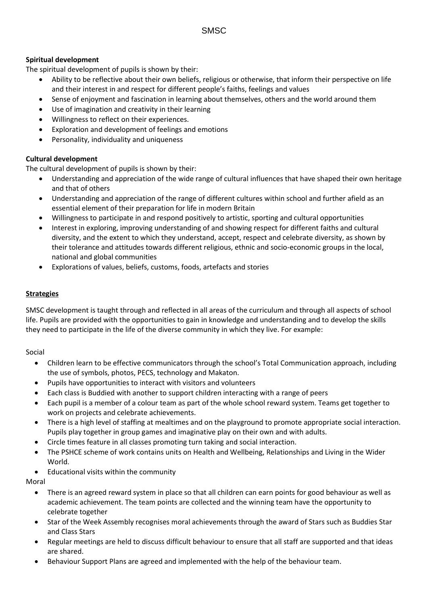#### **Spiritual development**

The spiritual development of pupils is shown by their:

- Ability to be reflective about their own beliefs, religious or otherwise, that inform their perspective on life and their interest in and respect for different people's faiths, feelings and values
- Sense of enjoyment and fascination in learning about themselves, others and the world around them
- Use of imagination and creativity in their learning
- Willingness to reflect on their experiences.
- Exploration and development of feelings and emotions
- Personality, individuality and uniqueness

#### **Cultural development**

The cultural development of pupils is shown by their:

- Understanding and appreciation of the wide range of cultural influences that have shaped their own heritage and that of others
- Understanding and appreciation of the range of different cultures within school and further afield as an essential element of their preparation for life in modern Britain
- Willingness to participate in and respond positively to artistic, sporting and cultural opportunities
- Interest in exploring, improving understanding of and showing respect for different faiths and cultural diversity, and the extent to which they understand, accept, respect and celebrate diversity, as shown by their tolerance and attitudes towards different religious, ethnic and socio-economic groups in the local, national and global communities
- Explorations of values, beliefs, customs, foods, artefacts and stories

#### **Strategies**

SMSC development is taught through and reflected in all areas of the curriculum and through all aspects of school life. Pupils are provided with the opportunities to gain in knowledge and understanding and to develop the skills they need to participate in the life of the diverse community in which they live. For example:

#### Social

- Children learn to be effective communicators through the school's Total Communication approach, including the use of symbols, photos, PECS, technology and Makaton.
- Pupils have opportunities to interact with visitors and volunteers
- Each class is Buddied with another to support children interacting with a range of peers
- Each pupil is a member of a colour team as part of the whole school reward system. Teams get together to work on projects and celebrate achievements.
- There is a high level of staffing at mealtimes and on the playground to promote appropriate social interaction. Pupils play together in group games and imaginative play on their own and with adults.
- Circle times feature in all classes promoting turn taking and social interaction.
- The PSHCE scheme of work contains units on Health and Wellbeing, Relationships and Living in the Wider World.
- Educational visits within the community

#### Moral

- There is an agreed reward system in place so that all children can earn points for good behaviour as well as academic achievement. The team points are collected and the winning team have the opportunity to celebrate together
- Star of the Week Assembly recognises moral achievements through the award of Stars such as Buddies Star and Class Stars
- Regular meetings are held to discuss difficult behaviour to ensure that all staff are supported and that ideas are shared.
- Behaviour Support Plans are agreed and implemented with the help of the behaviour team.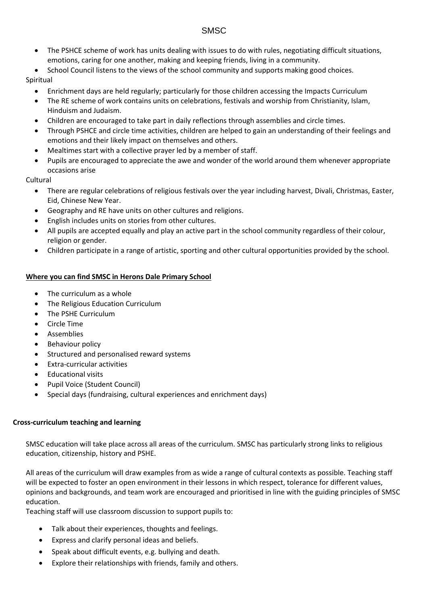- The PSHCE scheme of work has units dealing with issues to do with rules, negotiating difficult situations, emotions, caring for one another, making and keeping friends, living in a community.
- School Council listens to the views of the school community and supports making good choices.

Spiritual

- Enrichment days are held regularly; particularly for those children accessing the Impacts Curriculum
- The RE scheme of work contains units on celebrations, festivals and worship from Christianity, Islam, Hinduism and Judaism.
- Children are encouraged to take part in daily reflections through assemblies and circle times.
- Through PSHCE and circle time activities, children are helped to gain an understanding of their feelings and emotions and their likely impact on themselves and others.
- Mealtimes start with a collective prayer led by a member of staff.
- Pupils are encouraged to appreciate the awe and wonder of the world around them whenever appropriate occasions arise

### Cultural

- There are regular celebrations of religious festivals over the year including harvest, Divali, Christmas, Easter, Eid, Chinese New Year.
- Geography and RE have units on other cultures and religions.
- English includes units on stories from other cultures.
- All pupils are accepted equally and play an active part in the school community regardless of their colour, religion or gender.
- Children participate in a range of artistic, sporting and other cultural opportunities provided by the school.

#### **Where you can find SMSC in Herons Dale Primary School**

- The curriculum as a whole
- The Religious Education Curriculum
- The PSHE Curriculum
- Circle Time
- **Assemblies**
- Behaviour policy
- Structured and personalised reward systems
- Extra-curricular activities
- Educational visits
- Pupil Voice (Student Council)
- Special days (fundraising, cultural experiences and enrichment days)

#### **Cross-curriculum teaching and learning**

SMSC education will take place across all areas of the curriculum. SMSC has particularly strong links to religious education, citizenship, history and PSHE.

All areas of the curriculum will draw examples from as wide a range of cultural contexts as possible. Teaching staff will be expected to foster an open environment in their lessons in which respect, tolerance for different values, opinions and backgrounds, and team work are encouraged and prioritised in line with the guiding principles of SMSC education.

Teaching staff will use classroom discussion to support pupils to:

- Talk about their experiences, thoughts and feelings.
- Express and clarify personal ideas and beliefs.
- Speak about difficult events, e.g. bullying and death.
- Explore their relationships with friends, family and others.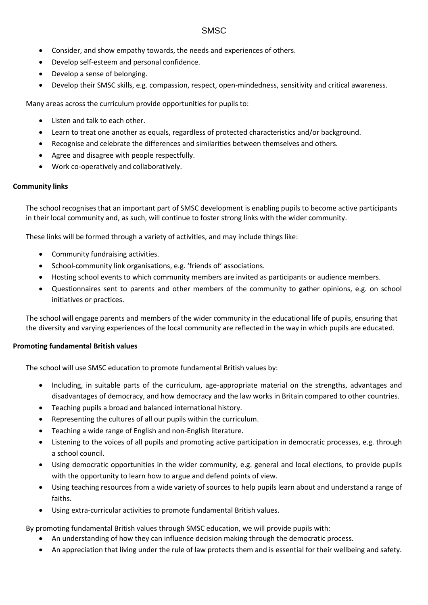- Consider, and show empathy towards, the needs and experiences of others.
- Develop self-esteem and personal confidence.
- Develop a sense of belonging.
- Develop their SMSC skills, e.g. compassion, respect, open-mindedness, sensitivity and critical awareness.

Many areas across the curriculum provide opportunities for pupils to:

- Listen and talk to each other.
- Learn to treat one another as equals, regardless of protected characteristics and/or background.
- Recognise and celebrate the differences and similarities between themselves and others.
- Agree and disagree with people respectfully.
- Work co-operatively and collaboratively.

#### **Community links**

The school recognises that an important part of SMSC development is enabling pupils to become active participants in their local community and, as such, will continue to foster strong links with the wider community.

These links will be formed through a variety of activities, and may include things like:

- Community fundraising activities.
- School-community link organisations, e.g. 'friends of' associations.
- Hosting school events to which community members are invited as participants or audience members.
- Questionnaires sent to parents and other members of the community to gather opinions, e.g. on school initiatives or practices.

The school will engage parents and members of the wider community in the educational life of pupils, ensuring that the diversity and varying experiences of the local community are reflected in the way in which pupils are educated.

#### **Promoting fundamental British values**

The school will use SMSC education to promote fundamental British values by:

- Including, in suitable parts of the curriculum, age-appropriate material on the strengths, advantages and disadvantages of democracy, and how democracy and the law works in Britain compared to other countries.
- Teaching pupils a broad and balanced international history.
- Representing the cultures of all our pupils within the curriculum.
- Teaching a wide range of English and non-English literature.
- Listening to the voices of all pupils and promoting active participation in democratic processes, e.g. through a school council.
- Using democratic opportunities in the wider community, e.g. general and local elections, to provide pupils with the opportunity to learn how to argue and defend points of view.
- Using teaching resources from a wide variety of sources to help pupils learn about and understand a range of faiths.
- Using extra-curricular activities to promote fundamental British values.

By promoting fundamental British values through SMSC education, we will provide pupils with:

- An understanding of how they can influence decision making through the democratic process.
- An appreciation that living under the rule of law protects them and is essential for their wellbeing and safety.